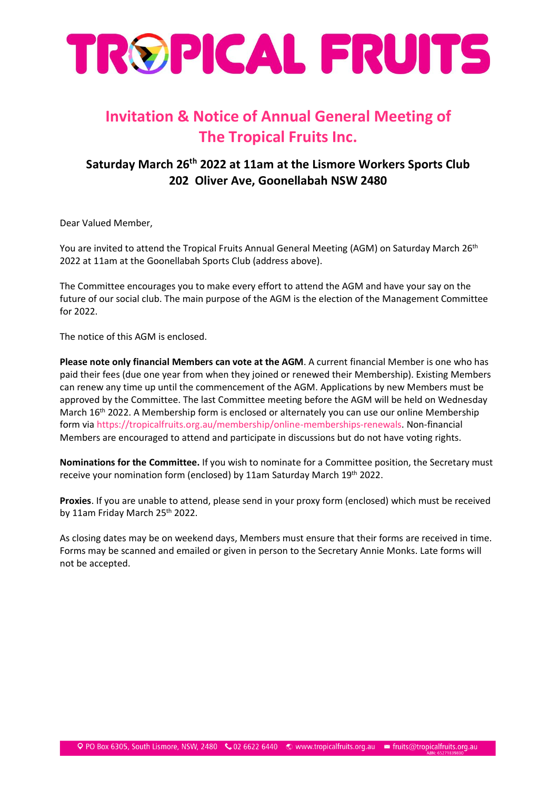

## **Invitation & Notice of Annual General Meeting of The Tropical Fruits Inc.**

#### **Saturday March 26th 2022 at 11am at the Lismore Workers Sports Club 202 Oliver Ave, Goonellabah NSW 2480**

Dear Valued Member,

You are invited to attend the Tropical Fruits Annual General Meeting (AGM) on Saturday March 26<sup>th</sup> 2022 at 11am at the Goonellabah Sports Club (address above).

The Committee encourages you to make every effort to attend the AGM and have your say on the future of our social club. The main purpose of the AGM is the election of the Management Committee for 2022.

The notice of this AGM is enclosed.

**Please note only financial Members can vote at the AGM**. A current financial Member is one who has paid their fees (due one year from when they joined or renewed their Membership). Existing Members can renew any time up until the commencement of the AGM. Applications by new Members must be approved by the Committee. The last Committee meeting before the AGM will be held on Wednesday March 16<sup>th</sup> 2022. A Membership form is enclosed or alternately you can use our online Membership form via [https://tropicalfruits.org.au/membership/online-memberships-renewals.](https://tropicalfruits.org.au/membership/online-memberships-renewals) Non-financial Members are encouraged to attend and participate in discussions but do not have voting rights.

**Nominations for the Committee.** If you wish to nominate for a Committee position, the Secretary must receive your nomination form (enclosed) by 11am Saturday March 19<sup>th</sup> 2022.

**Proxies**. If you are unable to attend, please send in your proxy form (enclosed) which must be received by 11am Friday March 25th 2022.

As closing dates may be on weekend days, Members must ensure that their forms are received in time. Forms may be scanned and emailed or given in person to the Secretary Annie Monks. Late forms will not be accepted.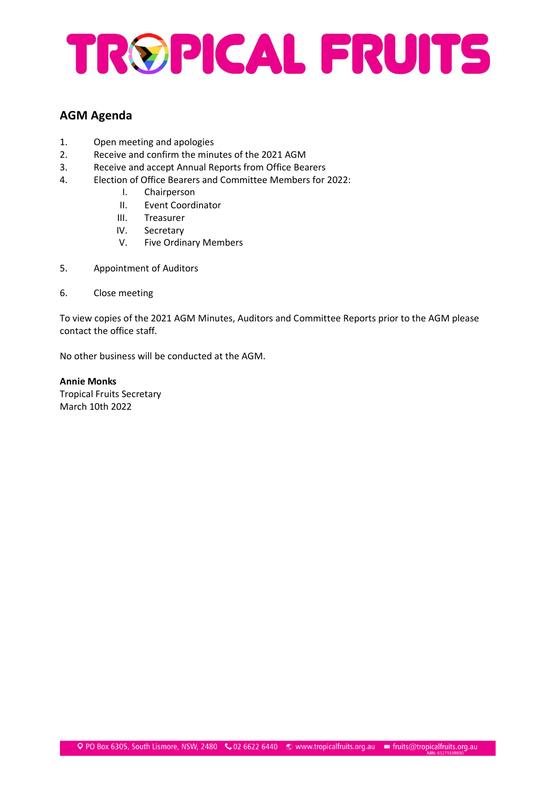# TROPICAL FRUITS

#### **AGM Agenda**

- 1. Open meeting and apologies
- 2. Receive and confirm the minutes of the 2021 AGM
- 3. Receive and accept Annual Reports from Office Bearers
- 4. Election of Office Bearers and Committee Members for 2022:
	- I. Chairperson
		- II. Event Coordinator
		- III. Treasurer
		- IV. Secretary
		- V. Five Ordinary Members
- 5. Appointment of Auditors
- 6. Close meeting

To view copies of the 2021 AGM Minutes, Auditors and Committee Reports prior to the AGM please contact the office staff.

No other business will be conducted at the AGM.

**Annie Monks** Tropical Fruits Secretary March 10th 2022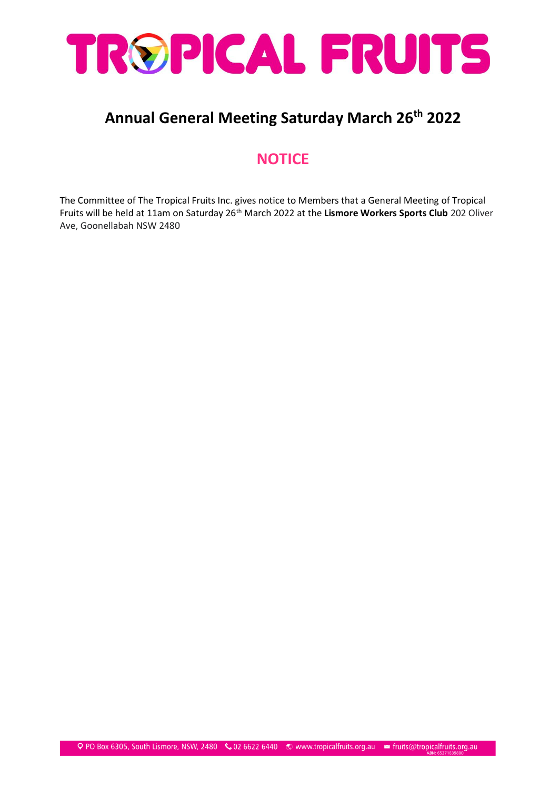

### **Annual General Meeting Saturday March 26th 2022**

#### **NOTICE**

The Committee of The Tropical Fruits Inc. gives notice to Members that a General Meeting of Tropical Fruits will be held at 11am on Saturday 26<sup>th</sup> March 2022 at the Lismore Workers Sports Club 202 Oliver Ave, Goonellabah NSW 2480